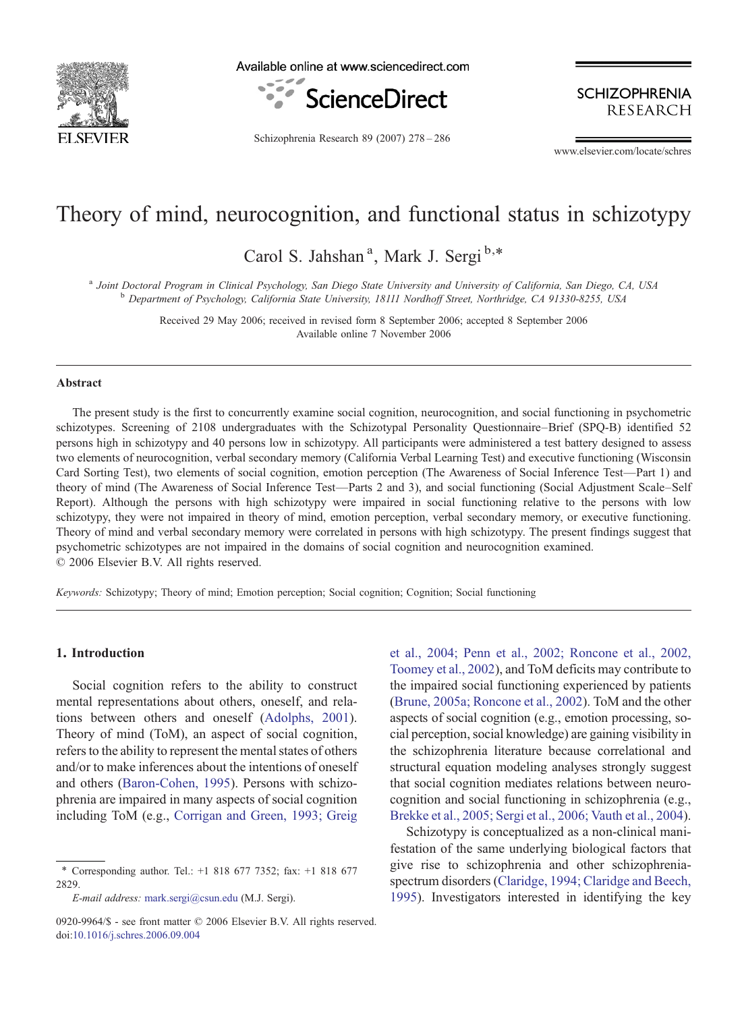

Available online at www.sciencedirect.com



Schizophrenia Research 89 (2007) 278–286

**SCHIZOPHRENIA RESEARCH** 

www.elsevier.com/locate/schres

# Theory of mind, neurocognition, and functional status in schizotypy

Carol S. Jahshan<sup>a</sup>, Mark J. Sergi<sup>b,\*</sup>

<sup>a</sup> Joint Doctoral Program in Clinical Psychology, San Diego State University and University of California, San Diego, CA, USA<br><sup>b</sup> Department of Psychology, California State University, 18111 Nordhoff Street, Northridge, C

Received 29 May 2006; received in revised form 8 September 2006; accepted 8 September 2006 Available online 7 November 2006

#### Abstract

The present study is the first to concurrently examine social cognition, neurocognition, and social functioning in psychometric schizotypes. Screening of 2108 undergraduates with the Schizotypal Personality Questionnaire–Brief (SPQ-B) identified 52 persons high in schizotypy and 40 persons low in schizotypy. All participants were administered a test battery designed to assess two elements of neurocognition, verbal secondary memory (California Verbal Learning Test) and executive functioning (Wisconsin Card Sorting Test), two elements of social cognition, emotion perception (The Awareness of Social Inference Test—Part 1) and theory of mind (The Awareness of Social Inference Test—Parts 2 and 3), and social functioning (Social Adjustment Scale–Self Report). Although the persons with high schizotypy were impaired in social functioning relative to the persons with low schizotypy, they were not impaired in theory of mind, emotion perception, verbal secondary memory, or executive functioning. Theory of mind and verbal secondary memory were correlated in persons with high schizotypy. The present findings suggest that psychometric schizotypes are not impaired in the domains of social cognition and neurocognition examined. © 2006 Elsevier B.V. All rights reserved.

Keywords: Schizotypy; Theory of mind; Emotion perception; Social cognition; Cognition; Social functioning

## 1. Introduction

Social cognition refers to the ability to construct mental representations about others, oneself, and relations between others and oneself [\(Adolphs, 2001\)](#page-6-0). Theory of mind (ToM), an aspect of social cognition, refers to the ability to represent the mental states of others and/or to make inferences about the intentions of oneself and others ([Baron-Cohen, 1995](#page-6-0)). Persons with schizophrenia are impaired in many aspects of social cognition including ToM (e.g., [Corrigan and Green, 1993; Greig](#page-6-0)

[et al., 2004; Penn et al., 2002; Roncone et al., 2002,](#page-6-0) [Toomey et al., 2002](#page-6-0)), and ToM deficits may contribute to the impaired social functioning experienced by patients [\(Brune, 2005a; Roncone et al., 2002\)](#page-6-0). ToM and the other aspects of social cognition (e.g., emotion processing, social perception, social knowledge) are gaining visibility in the schizophrenia literature because correlational and structural equation modeling analyses strongly suggest that social cognition mediates relations between neurocognition and social functioning in schizophrenia (e.g., [Brekke et al., 2005; Sergi et al., 2006; Vauth et al., 2004\)](#page-6-0).

Schizotypy is conceptualized as a non-clinical manifestation of the same underlying biological factors that give rise to schizophrenia and other schizophreniaspectrum disorders [\(Claridge, 1994; Claridge and Beech,](#page-6-0) [1995](#page-6-0)). Investigators interested in identifying the key

<sup>⁎</sup> Corresponding author. Tel.: +1 818 677 7352; fax: +1 818 677 2829.

E-mail address: [mark.sergi@csun.edu](mailto:mark.sergi@csun.edu) (M.J. Sergi).

<sup>0920-9964/\$ -</sup> see front matter © 2006 Elsevier B.V. All rights reserved. doi[:10.1016/j.schres.2006.09.004](http://dx.doi.org/10.1016/j.schres.2006.09.004)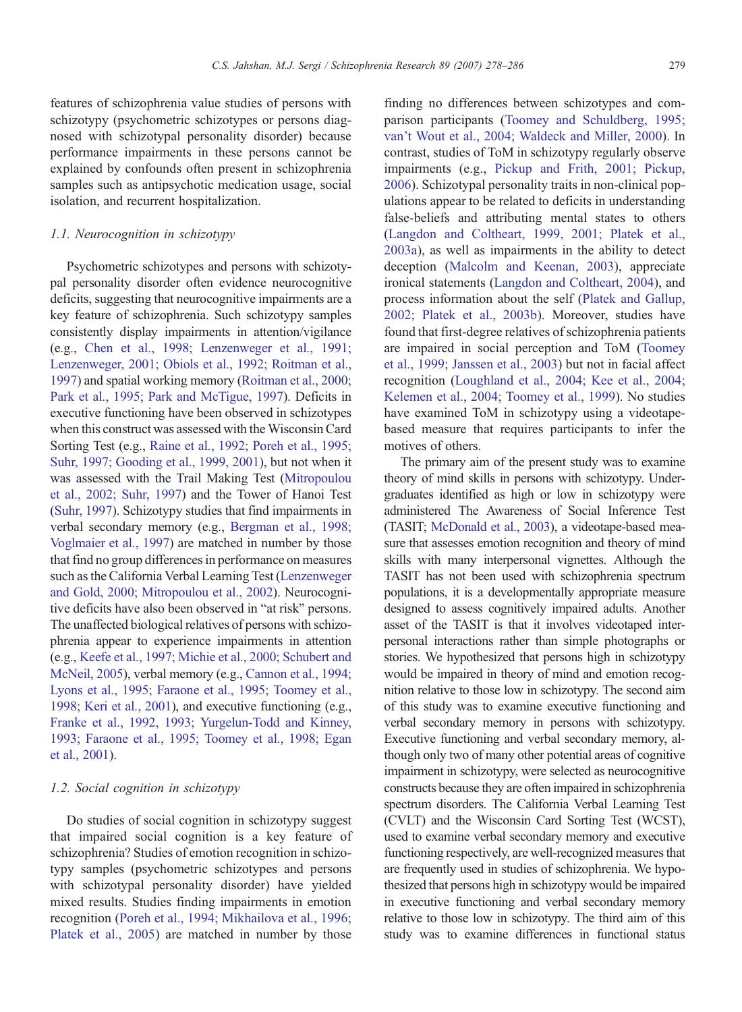features of schizophrenia value studies of persons with schizotypy (psychometric schizotypes or persons diagnosed with schizotypal personality disorder) because performance impairments in these persons cannot be explained by confounds often present in schizophrenia samples such as antipsychotic medication usage, social isolation, and recurrent hospitalization.

# 1.1. Neurocognition in schizotypy

Psychometric schizotypes and persons with schizotypal personality disorder often evidence neurocognitive deficits, suggesting that neurocognitive impairments are a key feature of schizophrenia. Such schizotypy samples consistently display impairments in attention/vigilance (e.g., [Chen et al., 1998; Lenzenweger et al., 1991;](#page-6-0) [Lenzenweger, 2001; Obiols et al., 1992; Roitman et al.,](#page-6-0) [1997](#page-6-0)) and spatial working memory [\(Roitman et al., 2000;](#page-8-0) [Park et al., 1995; Park and McTigue, 1997\)](#page-8-0). Deficits in executive functioning have been observed in schizotypes when this construct was assessed with the Wisconsin Card Sorting Test (e.g., [Raine et al., 1992; Poreh et al., 1995;](#page-8-0) [Suhr, 1997; Gooding et al., 1999, 2001](#page-8-0)), but not when it was assessed with the Trail Making Test ([Mitropoulou](#page-7-0) [et al., 2002; Suhr, 1997](#page-7-0)) and the Tower of Hanoi Test [\(Suhr, 1997](#page-8-0)). Schizotypy studies that find impairments in verbal secondary memory (e.g., [Bergman et al., 1998;](#page-6-0) [Voglmaier et al., 1997](#page-6-0)) are matched in number by those that find no group differences in performance on measures such as the California Verbal Learning Test ([Lenzenweger](#page-7-0) [and Gold, 2000; Mitropoulou et al., 2002](#page-7-0)). Neurocognitive deficits have also been observed in "at risk" persons. The unaffected biological relatives of persons with schizophrenia appear to experience impairments in attention (e.g., [Keefe et al., 1997; Michie et al., 2000; Schubert and](#page-7-0) [McNeil, 2005](#page-7-0)), verbal memory (e.g., [Cannon et al., 1994;](#page-6-0) [Lyons et al., 1995; Faraone et al., 1995; Toomey et al.,](#page-6-0) [1998; Keri et al., 2001\)](#page-6-0), and executive functioning (e.g., [Franke et al., 1992, 1993; Yurgelun-Todd and Kinney,](#page-7-0) [1993; Faraone et al., 1995; Toomey et al., 1998; Egan](#page-7-0) [et al., 2001](#page-7-0)).

## 1.2. Social cognition in schizotypy

Do studies of social cognition in schizotypy suggest that impaired social cognition is a key feature of schizophrenia? Studies of emotion recognition in schizotypy samples (psychometric schizotypes and persons with schizotypal personality disorder) have yielded mixed results. Studies finding impairments in emotion recognition ([Poreh et al., 1994; Mikhailova et al., 1996;](#page-8-0) [Platek et al., 2005\)](#page-8-0) are matched in number by those

finding no differences between schizotypes and comparison participants ([Toomey and Schuldberg, 1995;](#page-8-0) [van't Wout et al., 2004; Waldeck and Miller, 2000](#page-8-0)). In contrast, studies of ToM in schizotypy regularly observe impairments (e.g., [Pickup and Frith, 2001; Pickup,](#page-8-0) [2006\)](#page-8-0). Schizotypal personality traits in non-clinical populations appear to be related to deficits in understanding false-beliefs and attributing mental states to others [\(Langdon and Coltheart, 1999, 2001; Platek et al.,](#page-7-0) [2003a](#page-7-0)), as well as impairments in the ability to detect deception ([Malcolm and Keenan, 2003\)](#page-7-0), appreciate ironical statements ([Langdon and Coltheart, 2004](#page-7-0)), and process information about the self ([Platek and Gallup,](#page-8-0) [2002; Platek et al., 2003b](#page-8-0)). Moreover, studies have found that first-degree relatives of schizophrenia patients are impaired in social perception and ToM ([Toomey](#page-8-0) [et al., 1999; Janssen et al., 2003](#page-8-0)) but not in facial affect recognition ([Loughland et al., 2004; Kee et al., 2004;](#page-7-0) [Kelemen et al., 2004; Toomey et al., 1999\)](#page-7-0). No studies have examined ToM in schizotypy using a videotapebased measure that requires participants to infer the motives of others.

The primary aim of the present study was to examine theory of mind skills in persons with schizotypy. Undergraduates identified as high or low in schizotypy were administered The Awareness of Social Inference Test (TASIT; [McDonald et al., 2003\)](#page-7-0), a videotape-based measure that assesses emotion recognition and theory of mind skills with many interpersonal vignettes. Although the TASIT has not been used with schizophrenia spectrum populations, it is a developmentally appropriate measure designed to assess cognitively impaired adults. Another asset of the TASIT is that it involves videotaped interpersonal interactions rather than simple photographs or stories. We hypothesized that persons high in schizotypy would be impaired in theory of mind and emotion recognition relative to those low in schizotypy. The second aim of this study was to examine executive functioning and verbal secondary memory in persons with schizotypy. Executive functioning and verbal secondary memory, although only two of many other potential areas of cognitive impairment in schizotypy, were selected as neurocognitive constructs because they are often impaired in schizophrenia spectrum disorders. The California Verbal Learning Test (CVLT) and the Wisconsin Card Sorting Test (WCST), used to examine verbal secondary memory and executive functioning respectively, are well-recognized measures that are frequently used in studies of schizophrenia. We hypothesized that persons high in schizotypy would be impaired in executive functioning and verbal secondary memory relative to those low in schizotypy. The third aim of this study was to examine differences in functional status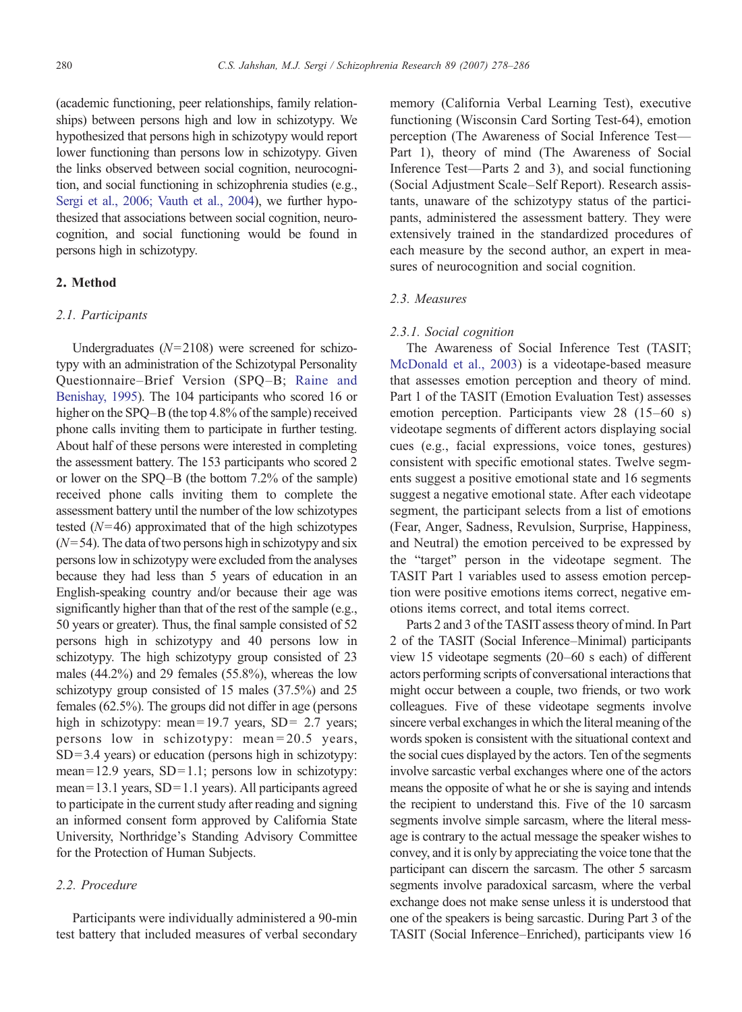(academic functioning, peer relationships, family relationships) between persons high and low in schizotypy. We hypothesized that persons high in schizotypy would report lower functioning than persons low in schizotypy. Given the links observed between social cognition, neurocognition, and social functioning in schizophrenia studies (e.g., [Sergi et al., 2006; Vauth et al., 2004\)](#page-8-0), we further hypothesized that associations between social cognition, neurocognition, and social functioning would be found in persons high in schizotypy.

# 2. Method

## 2.1. Participants

Undergraduates  $(N=2108)$  were screened for schizotypy with an administration of the Schizotypal Personality Questionnaire–Brief Version (SPQ–B; [Raine and](#page-8-0) [Benishay, 1995\)](#page-8-0). The 104 participants who scored 16 or higher on the SPQ–B (the top 4.8% of the sample) received phone calls inviting them to participate in further testing. About half of these persons were interested in completing the assessment battery. The 153 participants who scored 2 or lower on the SPQ–B (the bottom 7.2% of the sample) received phone calls inviting them to complete the assessment battery until the number of the low schizotypes tested  $(N=46)$  approximated that of the high schizotypes  $(N= 54)$ . The data of two persons high in schizotypy and six persons low in schizotypy were excluded from the analyses because they had less than 5 years of education in an English-speaking country and/or because their age was significantly higher than that of the rest of the sample (e.g., 50 years or greater). Thus, the final sample consisted of 52 persons high in schizotypy and 40 persons low in schizotypy. The high schizotypy group consisted of 23 males (44.2%) and 29 females (55.8%), whereas the low schizotypy group consisted of 15 males (37.5%) and 25 females (62.5%). The groups did not differ in age (persons high in schizotypy: mean=19.7 years, SD= 2.7 years; persons low in schizotypy: mean = 20.5 years,  $SD = 3.4$  years) or education (persons high in schizotypy: mean= $12.9$  years, SD= $1.1$ ; persons low in schizotypy: mean= 13.1 years, SD= 1.1 years). All participants agreed to participate in the current study after reading and signing an informed consent form approved by California State University, Northridge's Standing Advisory Committee for the Protection of Human Subjects.

# 2.2. Procedure

Participants were individually administered a 90-min test battery that included measures of verbal secondary

memory (California Verbal Learning Test), executive functioning (Wisconsin Card Sorting Test-64), emotion perception (The Awareness of Social Inference Test— Part 1), theory of mind (The Awareness of Social Inference Test—Parts 2 and 3), and social functioning (Social Adjustment Scale–Self Report). Research assistants, unaware of the schizotypy status of the participants, administered the assessment battery. They were extensively trained in the standardized procedures of each measure by the second author, an expert in measures of neurocognition and social cognition.

#### 2.3. Measures

## 2.3.1. Social cognition

The Awareness of Social Inference Test (TASIT; [McDonald et al., 2003\)](#page-7-0) is a videotape-based measure that assesses emotion perception and theory of mind. Part 1 of the TASIT (Emotion Evaluation Test) assesses emotion perception. Participants view 28 (15–60 s) videotape segments of different actors displaying social cues (e.g., facial expressions, voice tones, gestures) consistent with specific emotional states. Twelve segments suggest a positive emotional state and 16 segments suggest a negative emotional state. After each videotape segment, the participant selects from a list of emotions (Fear, Anger, Sadness, Revulsion, Surprise, Happiness, and Neutral) the emotion perceived to be expressed by the "target" person in the videotape segment. The TASIT Part 1 variables used to assess emotion perception were positive emotions items correct, negative emotions items correct, and total items correct.

Parts 2 and 3 of the TASIT assess theory of mind. In Part 2 of the TASIT (Social Inference–Minimal) participants view 15 videotape segments (20–60 s each) of different actors performing scripts of conversational interactions that might occur between a couple, two friends, or two work colleagues. Five of these videotape segments involve sincere verbal exchanges in which the literal meaning of the words spoken is consistent with the situational context and the social cues displayed by the actors. Ten of the segments involve sarcastic verbal exchanges where one of the actors means the opposite of what he or she is saying and intends the recipient to understand this. Five of the 10 sarcasm segments involve simple sarcasm, where the literal message is contrary to the actual message the speaker wishes to convey, and it is only by appreciating the voice tone that the participant can discern the sarcasm. The other 5 sarcasm segments involve paradoxical sarcasm, where the verbal exchange does not make sense unless it is understood that one of the speakers is being sarcastic. During Part 3 of the TASIT (Social Inference–Enriched), participants view 16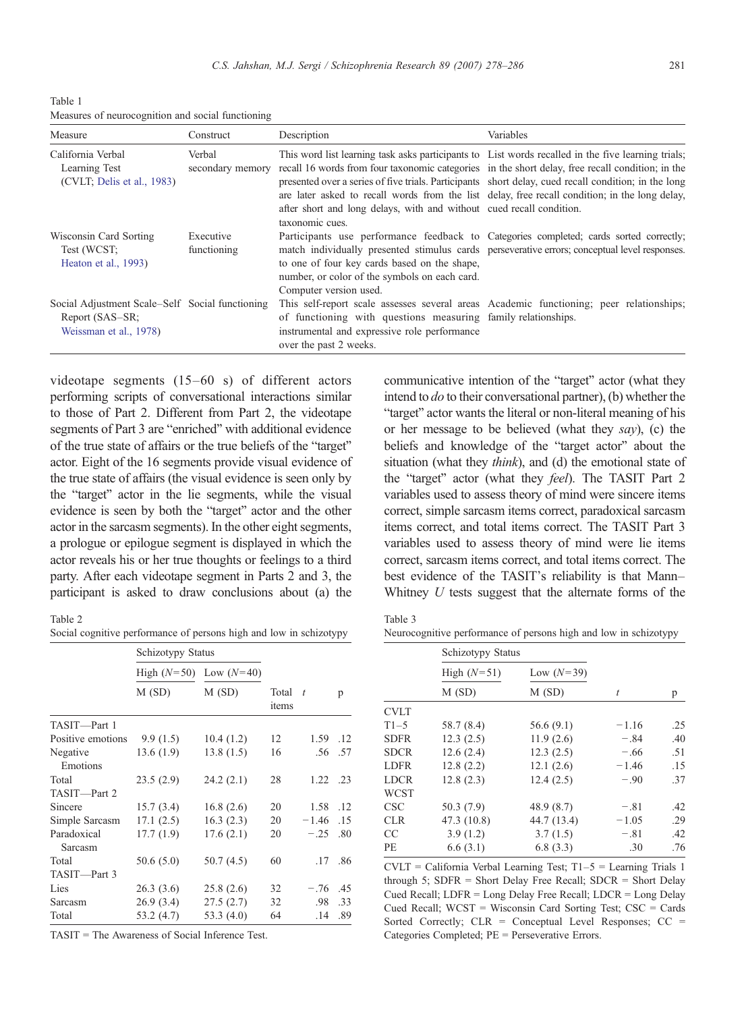<span id="page-3-0"></span>Table 1 Measures of neurocognition and social functioning

| Measure                                                                                      | Construct                  | Description                                                                                                                                                                                                                                                                                                                                                                                                                                                                                                 | Variables |
|----------------------------------------------------------------------------------------------|----------------------------|-------------------------------------------------------------------------------------------------------------------------------------------------------------------------------------------------------------------------------------------------------------------------------------------------------------------------------------------------------------------------------------------------------------------------------------------------------------------------------------------------------------|-----------|
| California Verbal<br>Learning Test<br>(CVLT; Delis et al., 1983)                             | Verbal<br>secondary memory | This word list learning task asks participants to List words recalled in the five learning trials;<br>recall 16 words from four taxonomic categories in the short delay, free recall condition; in the<br>presented over a series of five trials. Participants short delay, cued recall condition; in the long<br>are later asked to recall words from the list delay, free recall condition; in the long delay,<br>after short and long delays, with and without cued recall condition.<br>taxonomic cues. |           |
| Wisconsin Card Sorting<br>Test (WCST;<br>Heaton et al., 1993)                                | Executive<br>functioning   | Participants use performance feedback to Categories completed; cards sorted correctly;<br>match individually presented stimulus cards perseverative errors; conceptual level responses.<br>to one of four key cards based on the shape,<br>number, or color of the symbols on each card.<br>Computer version used.                                                                                                                                                                                          |           |
| Social Adjustment Scale-Self Social functioning<br>Report (SAS–SR;<br>Weissman et al., 1978) |                            | This self-report scale assesses several areas Academic functioning; peer relationships;<br>of functioning with questions measuring family relationships.<br>instrumental and expressive role performance<br>over the past 2 weeks.                                                                                                                                                                                                                                                                          |           |

videotape segments (15–60 s) of different actors performing scripts of conversational interactions similar to those of Part 2. Different from Part 2, the videotape segments of Part 3 are "enriched" with additional evidence of the true state of affairs or the true beliefs of the "target" actor. Eight of the 16 segments provide visual evidence of the true state of affairs (the visual evidence is seen only by the "target" actor in the lie segments, while the visual evidence is seen by both the "target" actor and the other actor in the sarcasm segments). In the other eight segments, a prologue or epilogue segment is displayed in which the actor reveals his or her true thoughts or feelings to a third party. After each videotape segment in Parts 2 and 3, the participant is asked to draw conclusions about (a) the

Table 2

| Social cognitive performance of persons high and low in schizotypy |  |  |  |
|--------------------------------------------------------------------|--|--|--|
|--------------------------------------------------------------------|--|--|--|

|                        | Schizotypy Status          |              |                |          |     |  |
|------------------------|----------------------------|--------------|----------------|----------|-----|--|
|                        | High $(N=50)$ Low $(N=40)$ |              |                |          |     |  |
|                        | M(SD)                      | M(SD)        | Total<br>items | $\tau$   | p   |  |
| TASIT-Part 1           |                            |              |                |          |     |  |
| Positive emotions      | 9.9(1.5)                   | 10.4(1.2)    | 12             | 1.59     | .12 |  |
| Negative<br>Emotions   | 13.6(1.9)                  | 13.8(1.5)    | 16             | .56      | .57 |  |
| Total                  | 23.5(2.9)                  | 24.2(2.1)    | 28             | 1.22 .23 |     |  |
| TASIT-Part 2           |                            |              |                |          |     |  |
| Sincere                | 15.7(3.4)                  | 16.8(2.6)    | 20             | 1.58     | .12 |  |
| Simple Sarcasm         | 17.1(2.5)                  | 16.3(2.3)    | 20             | $-1.46$  | .15 |  |
| Paradoxical<br>Sarcasm | 17.7(1.9)                  | 17.6(2.1)    | 20             | $-.25$   | .80 |  |
| Total                  | 50.6 (5.0)                 | 50.7(4.5)    | 60             | .17      | .86 |  |
| TASIT-Part 3           |                            |              |                |          |     |  |
| Lies                   | 26.3(3.6)                  | 25.8(2.6)    | 32             | $-.76$   | .45 |  |
| Sarcasm                | 26.9(3.4)                  | 27.5(2.7)    | 32             | .98      | .33 |  |
| Total                  | 53.2 (4.7)                 | 53.3 $(4.0)$ | 64             | .14      | .89 |  |

TASIT = The Awareness of Social Inference Test.

communicative intention of the "target" actor (what they intend to  $do$  to their conversational partner), (b) whether the "target" actor wants the literal or non-literal meaning of his or her message to be believed (what they  $say$ ), (c) the beliefs and knowledge of the "target actor" about the situation (what they *think*), and (d) the emotional state of the "target" actor (what they feel). The TASIT Part 2 variables used to assess theory of mind were sincere items correct, simple sarcasm items correct, paradoxical sarcasm items correct, and total items correct. The TASIT Part 3 variables used to assess theory of mind were lie items correct, sarcasm items correct, and total items correct. The best evidence of the TASIT's reliability is that Mann– Whitney  $U$  tests suggest that the alternate forms of the

| $\sim$<br>۰,<br>× | ۰.<br>× |
|-------------------|---------|

|  |  |  |  | Neurocognitive performance of persons high and low in schizotypy |
|--|--|--|--|------------------------------------------------------------------|
|--|--|--|--|------------------------------------------------------------------|

|             | Schizotypy Status |              |         |     |
|-------------|-------------------|--------------|---------|-----|
|             | High $(N=51)$     | Low $(N=39)$ |         |     |
|             | M(SD)             | M(SD)        | t       | p   |
| <b>CVLT</b> |                   |              |         |     |
| $T1-5$      | 58.7 (8.4)        | 56.6(9.1)    | $-1.16$ | .25 |
| <b>SDFR</b> | 12.3(2.5)         | 11.9(2.6)    | $-.84$  | .40 |
| <b>SDCR</b> | 12.6(2.4)         | 12.3(2.5)    | $-.66$  | .51 |
| <b>LDFR</b> | 12.8(2.2)         | 12.1(2.6)    | $-1.46$ | .15 |
| LDCR        | 12.8(2.3)         | 12.4(2.5)    | $-.90$  | .37 |
| <b>WCST</b> |                   |              |         |     |
| <b>CSC</b>  | 50.3 (7.9)        | 48.9 (8.7)   | $-.81$  | .42 |
| <b>CLR</b>  | 47.3 (10.8)       | 44.7 (13.4)  | $-1.05$ | .29 |
| CC.         | 3.9(1.2)          | 3.7(1.5)     | $-.81$  | .42 |
| РE          | 6.6(3.1)          | 6.8(3.3)     | .30     | .76 |

CVLT = California Verbal Learning Test; T1–5 = Learning Trials 1 through 5; SDFR = Short Delay Free Recall; SDCR = Short Delay Cued Recall; LDFR = Long Delay Free Recall; LDCR = Long Delay Cued Recall; WCST = Wisconsin Card Sorting Test; CSC = Cards Sorted Correctly;  $CLR =$  Conceptual Level Responses;  $CC =$ Categories Completed; PE = Perseverative Errors.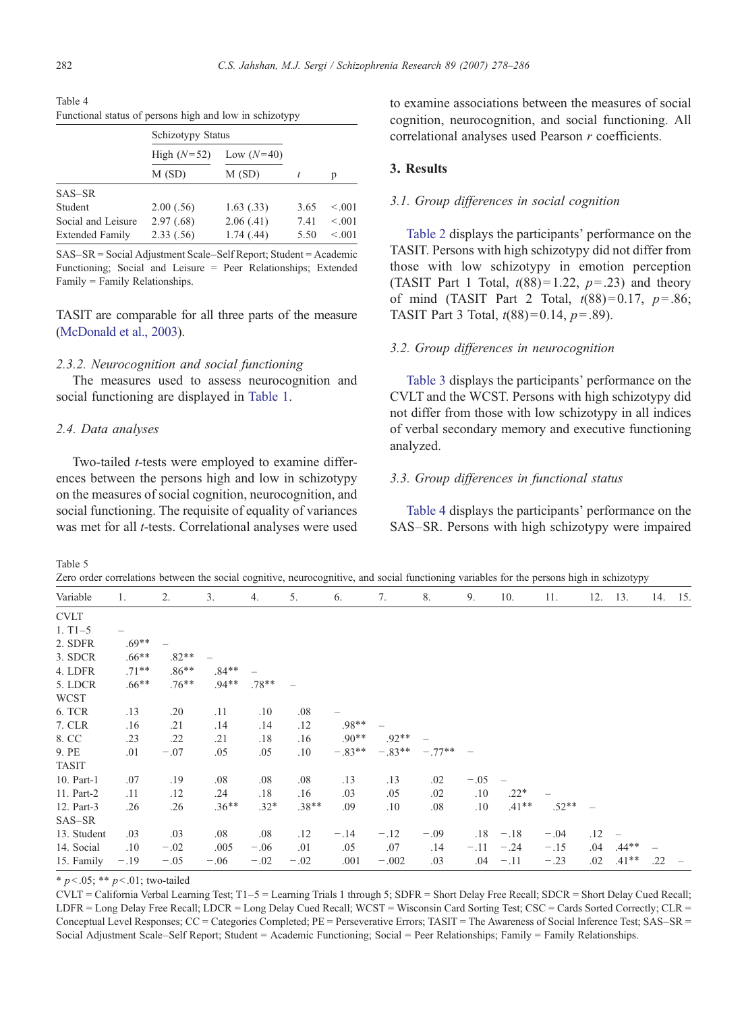|                        | Schizotypy Status |              |      |         |  |  |  |  |  |  |
|------------------------|-------------------|--------------|------|---------|--|--|--|--|--|--|
|                        | High $(N=52)$     | Low $(N=40)$ |      |         |  |  |  |  |  |  |
|                        | M(SD)<br>M(SD)    |              |      | p       |  |  |  |  |  |  |
| $SAS-SR$               |                   |              |      |         |  |  |  |  |  |  |
| Student                | 2.00(.56)         | 1.63(0.33)   | 3.65 | < 0.001 |  |  |  |  |  |  |
| Social and Leisure     | 2.97(.68)         | 2.06(0.41)   | 7.41 | < 0.001 |  |  |  |  |  |  |
| <b>Extended Family</b> | 2.33(.56)         | 1.74(0.44)   | 5.50 | < 0.001 |  |  |  |  |  |  |

<span id="page-4-0"></span>Table 4 Functional status of persons high and low in schizotypy

SAS–SR = Social Adjustment Scale–Self Report; Student = Academic Functioning; Social and Leisure = Peer Relationships; Extended Family = Family Relationships.

TASIT are comparable for all three parts of the measure [\(McDonald et al., 2003](#page-7-0)).

## 2.3.2. Neurocognition and social functioning

The measures used to assess neurocognition and social functioning are displayed in [Table 1](#page-3-0).

#### 2.4. Data analyses

Two-tailed t-tests were employed to examine differences between the persons high and low in schizotypy on the measures of social cognition, neurocognition, and social functioning. The requisite of equality of variances was met for all *t*-tests. Correlational analyses were used to examine associations between the measures of social cognition, neurocognition, and social functioning. All correlational analyses used Pearson r coefficients.

## 3. Results

#### 3.1. Group differences in social cognition

[Table 2](#page-3-0) displays the participants' performance on the TASIT. Persons with high schizotypy did not differ from those with low schizotypy in emotion perception (TASIT Part 1 Total,  $t(88)=1.22$ ,  $p=.23$ ) and theory of mind (TASIT Part 2 Total,  $t(88)=0.17$ ,  $p=.86$ ; TASIT Part 3 Total,  $t(88)=0.14$ ,  $p=.89$ ).

#### 3.2. Group differences in neurocognition

[Table 3](#page-3-0) displays the participants' performance on the CVLT and the WCST. Persons with high schizotypy did not differ from those with low schizotypy in all indices of verbal secondary memory and executive functioning analyzed.

## 3.3. Group differences in functional status

Table 4 displays the participants' performance on the SAS–SR. Persons with high schizotypy were impaired

Table 5

Zero order correlations between the social cognitive, neurocognitive, and social functioning variables for the persons high in schizotypy

|              |          |          |          |         |         |          |          |          | л.     |          |         |     | $\sim$ 1 $\sim$                       |         |  |
|--------------|----------|----------|----------|---------|---------|----------|----------|----------|--------|----------|---------|-----|---------------------------------------|---------|--|
| Variable     | 1.       | 2.       | 3.       | 4.      | 5.      | 6.       | 7.       | 8.       | 9.     | 10.      | 11.     | 12. | 13.                                   | 14. 15. |  |
| <b>CVLT</b>  |          |          |          |         |         |          |          |          |        |          |         |     |                                       |         |  |
| $1. T1 - 5$  |          |          |          |         |         |          |          |          |        |          |         |     |                                       |         |  |
| 2. SDFR      | $.69**$  |          |          |         |         |          |          |          |        |          |         |     |                                       |         |  |
| 3. SDCR      | $.66***$ | $.82**$  |          |         |         |          |          |          |        |          |         |     |                                       |         |  |
| 4. LDFR      | $.71***$ | $.86**$  | $.84**$  |         |         |          |          |          |        |          |         |     |                                       |         |  |
| 5. LDCR      | $.66***$ | $.76***$ | $.94**$  | $.78**$ |         |          |          |          |        |          |         |     |                                       |         |  |
| <b>WCST</b>  |          |          |          |         |         |          |          |          |        |          |         |     |                                       |         |  |
| 6. TCR       | .13      | .20      | .11      | .10     | .08     |          |          |          |        |          |         |     |                                       |         |  |
| 7. CLR       | .16      | .21      | .14      | .14     | .12     | $.98**$  |          |          |        |          |         |     |                                       |         |  |
| 8. CC        | .23      | .22      | .21      | .18     | .16     | $.90**$  | $.92**$  |          |        |          |         |     |                                       |         |  |
| 9. PE        | .01      | $-.07$   | .05      | .05     | .10     | $-.83**$ | $-.83**$ | $-.77**$ |        |          |         |     |                                       |         |  |
| <b>TASIT</b> |          |          |          |         |         |          |          |          |        |          |         |     |                                       |         |  |
| 10. Part-1   | .07      | .19      | .08      | .08     | .08     | .13      | .13      | .02      | $-.05$ |          |         |     |                                       |         |  |
| 11. Part-2   | .11      | .12      | .24      | .18     | .16     | .03      | .05      | .02      | .10    | $.22*$   |         |     |                                       |         |  |
| 12. Part-3   | .26      | .26      | $.36***$ | $.32*$  | $.38**$ | .09      | .10      | .08      | .10    | $.41***$ | $.52**$ |     |                                       |         |  |
| SAS-SR       |          |          |          |         |         |          |          |          |        |          |         |     |                                       |         |  |
| 13. Student  | .03      | .03      | .08      | .08     | .12     | $-.14$   | $-.12$   | $-.09$   | .18    | $-.18$   | $-.04$  | .12 | $\hspace{1.0cm} \rule{1.5cm}{0.15cm}$ |         |  |
| 14. Social   | .10      | $-.02$   | .005     | $-.06$  | .01     | .05      | .07      | .14      | $-.11$ | $-.24$   | $-.15$  | .04 | $.44**$                               |         |  |
| 15. Family   | $-.19$   | $-.05$   | $-.06$   | $-.02$  | $-.02$  | .001     | $-.002$  | .03      | .04    | $-.11$   | $-.23$  | .02 | $.41**$                               | .22     |  |

 $*$  p < .05;  $*$  p < .01; two-tailed

CVLT = California Verbal Learning Test; T1–5 = Learning Trials 1 through 5; SDFR = Short Delay Free Recall; SDCR = Short Delay Cued Recall; LDFR = Long Delay Free Recall; LDCR = Long Delay Cued Recall; WCST = Wisconsin Card Sorting Test; CSC = Cards Sorted Correctly; CLR = Conceptual Level Responses; CC = Categories Completed; PE = Perseverative Errors; TASIT = The Awareness of Social Inference Test; SAS–SR = Social Adjustment Scale–Self Report; Student = Academic Functioning; Social = Peer Relationships; Family = Family Relationships.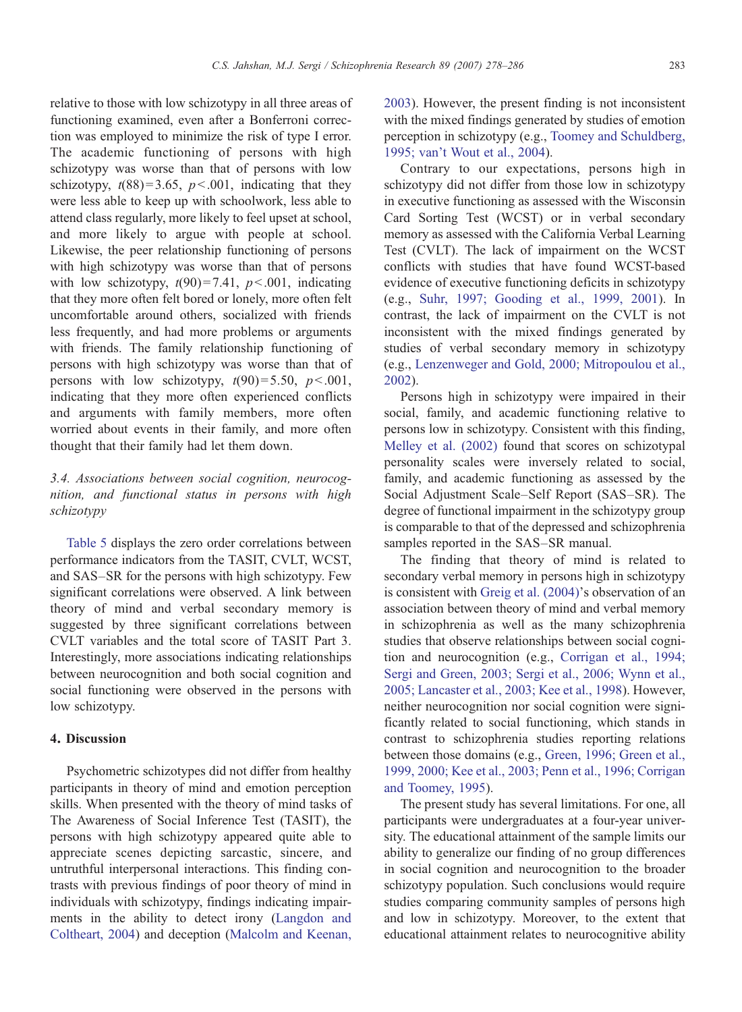relative to those with low schizotypy in all three areas of functioning examined, even after a Bonferroni correction was employed to minimize the risk of type I error. The academic functioning of persons with high schizotypy was worse than that of persons with low schizotypy,  $t(88)=3.65$ ,  $p<.001$ , indicating that they were less able to keep up with schoolwork, less able to attend class regularly, more likely to feel upset at school, and more likely to argue with people at school. Likewise, the peer relationship functioning of persons with high schizotypy was worse than that of persons with low schizotypy,  $t(90)=7.41$ ,  $p<.001$ , indicating that they more often felt bored or lonely, more often felt uncomfortable around others, socialized with friends less frequently, and had more problems or arguments with friends. The family relationship functioning of persons with high schizotypy was worse than that of persons with low schizotypy,  $t(90)=5.50$ ,  $p<.001$ , indicating that they more often experienced conflicts and arguments with family members, more often worried about events in their family, and more often thought that their family had let them down.

# 3.4. Associations between social cognition, neurocognition, and functional status in persons with high schizotypy

[Table 5](#page-4-0) displays the zero order correlations between performance indicators from the TASIT, CVLT, WCST, and SAS–SR for the persons with high schizotypy. Few significant correlations were observed. A link between theory of mind and verbal secondary memory is suggested by three significant correlations between CVLT variables and the total score of TASIT Part 3. Interestingly, more associations indicating relationships between neurocognition and both social cognition and social functioning were observed in the persons with low schizotypy.

# 4. Discussion

Psychometric schizotypes did not differ from healthy participants in theory of mind and emotion perception skills. When presented with the theory of mind tasks of The Awareness of Social Inference Test (TASIT), the persons with high schizotypy appeared quite able to appreciate scenes depicting sarcastic, sincere, and untruthful interpersonal interactions. This finding contrasts with previous findings of poor theory of mind in individuals with schizotypy, findings indicating impairments in the ability to detect irony [\(Langdon and](#page-7-0) [Coltheart, 2004](#page-7-0)) and deception ([Malcolm and Keenan,](#page-7-0)

[2003\)](#page-7-0). However, the present finding is not inconsistent with the mixed findings generated by studies of emotion perception in schizotypy (e.g., [Toomey and Schuldberg,](#page-8-0) [1995; van't Wout et al., 2004](#page-8-0)).

Contrary to our expectations, persons high in schizotypy did not differ from those low in schizotypy in executive functioning as assessed with the Wisconsin Card Sorting Test (WCST) or in verbal secondary memory as assessed with the California Verbal Learning Test (CVLT). The lack of impairment on the WCST conflicts with studies that have found WCST-based evidence of executive functioning deficits in schizotypy (e.g., [Suhr, 1997; Gooding et al., 1999, 2001](#page-8-0)). In contrast, the lack of impairment on the CVLT is not inconsistent with the mixed findings generated by studies of verbal secondary memory in schizotypy (e.g., [Lenzenweger and Gold, 2000; Mitropoulou et al.,](#page-7-0) [2002\)](#page-7-0).

Persons high in schizotypy were impaired in their social, family, and academic functioning relative to persons low in schizotypy. Consistent with this finding, [Melley et al. \(2002\)](#page-7-0) found that scores on schizotypal personality scales were inversely related to social, family, and academic functioning as assessed by the Social Adjustment Scale–Self Report (SAS–SR). The degree of functional impairment in the schizotypy group is comparable to that of the depressed and schizophrenia samples reported in the SAS–SR manual.

The finding that theory of mind is related to secondary verbal memory in persons high in schizotypy is consistent with [Greig et al. \(2004\)](#page-7-0)'s observation of an association between theory of mind and verbal memory in schizophrenia as well as the many schizophrenia studies that observe relationships between social cognition and neurocognition (e.g., [Corrigan et al., 1994;](#page-6-0) [Sergi and Green, 2003; Sergi et al., 2006; Wynn et al.,](#page-6-0) [2005; Lancaster et al., 2003; Kee et al., 1998\)](#page-6-0). However, neither neurocognition nor social cognition were significantly related to social functioning, which stands in contrast to schizophrenia studies reporting relations between those domains (e.g., [Green, 1996; Green et al.,](#page-7-0) [1999, 2000; Kee et al., 2003; Penn et al., 1996; Corrigan](#page-7-0) [and Toomey, 1995\)](#page-7-0).

The present study has several limitations. For one, all participants were undergraduates at a four-year university. The educational attainment of the sample limits our ability to generalize our finding of no group differences in social cognition and neurocognition to the broader schizotypy population. Such conclusions would require studies comparing community samples of persons high and low in schizotypy. Moreover, to the extent that educational attainment relates to neurocognitive ability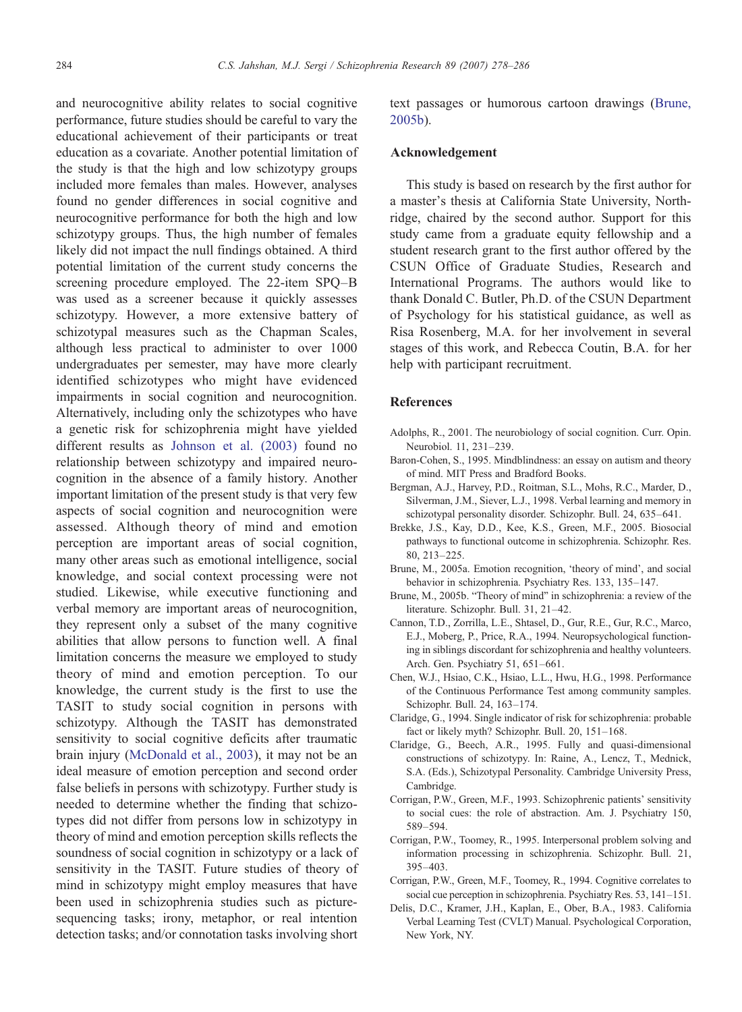<span id="page-6-0"></span>and neurocognitive ability relates to social cognitive performance, future studies should be careful to vary the educational achievement of their participants or treat education as a covariate. Another potential limitation of the study is that the high and low schizotypy groups included more females than males. However, analyses found no gender differences in social cognitive and neurocognitive performance for both the high and low schizotypy groups. Thus, the high number of females likely did not impact the null findings obtained. A third potential limitation of the current study concerns the screening procedure employed. The 22-item SPQ–B was used as a screener because it quickly assesses schizotypy. However, a more extensive battery of schizotypal measures such as the Chapman Scales, although less practical to administer to over 1000 undergraduates per semester, may have more clearly identified schizotypes who might have evidenced impairments in social cognition and neurocognition. Alternatively, including only the schizotypes who have a genetic risk for schizophrenia might have yielded different results as [Johnson et al. \(2003\)](#page-7-0) found no relationship between schizotypy and impaired neurocognition in the absence of a family history. Another important limitation of the present study is that very few aspects of social cognition and neurocognition were assessed. Although theory of mind and emotion perception are important areas of social cognition, many other areas such as emotional intelligence, social knowledge, and social context processing were not studied. Likewise, while executive functioning and verbal memory are important areas of neurocognition, they represent only a subset of the many cognitive abilities that allow persons to function well. A final limitation concerns the measure we employed to study theory of mind and emotion perception. To our knowledge, the current study is the first to use the TASIT to study social cognition in persons with schizotypy. Although the TASIT has demonstrated sensitivity to social cognitive deficits after traumatic brain injury ([McDonald et al., 2003](#page-7-0)), it may not be an ideal measure of emotion perception and second order false beliefs in persons with schizotypy. Further study is needed to determine whether the finding that schizotypes did not differ from persons low in schizotypy in theory of mind and emotion perception skills reflects the soundness of social cognition in schizotypy or a lack of sensitivity in the TASIT. Future studies of theory of mind in schizotypy might employ measures that have been used in schizophrenia studies such as picturesequencing tasks; irony, metaphor, or real intention detection tasks; and/or connotation tasks involving short

text passages or humorous cartoon drawings (Brune, 2005b).

## Acknowledgement

This study is based on research by the first author for a master's thesis at California State University, Northridge, chaired by the second author. Support for this study came from a graduate equity fellowship and a student research grant to the first author offered by the CSUN Office of Graduate Studies, Research and International Programs. The authors would like to thank Donald C. Butler, Ph.D. of the CSUN Department of Psychology for his statistical guidance, as well as Risa Rosenberg, M.A. for her involvement in several stages of this work, and Rebecca Coutin, B.A. for her help with participant recruitment.

## **References**

- Adolphs, R., 2001. The neurobiology of social cognition. Curr. Opin. Neurobiol. 11, 231–239.
- Baron-Cohen, S., 1995. Mindblindness: an essay on autism and theory of mind. MIT Press and Bradford Books.
- Bergman, A.J., Harvey, P.D., Roitman, S.L., Mohs, R.C., Marder, D., Silverman, J.M., Siever, L.J., 1998. Verbal learning and memory in schizotypal personality disorder. Schizophr. Bull. 24, 635–641.
- Brekke, J.S., Kay, D.D., Kee, K.S., Green, M.F., 2005. Biosocial pathways to functional outcome in schizophrenia. Schizophr. Res. 80, 213–225.
- Brune, M., 2005a. Emotion recognition, 'theory of mind', and social behavior in schizophrenia. Psychiatry Res. 133, 135–147.
- Brune, M., 2005b. "Theory of mind" in schizophrenia: a review of the literature. Schizophr. Bull. 31, 21–42.
- Cannon, T.D., Zorrilla, L.E., Shtasel, D., Gur, R.E., Gur, R.C., Marco, E.J., Moberg, P., Price, R.A., 1994. Neuropsychological functioning in siblings discordant for schizophrenia and healthy volunteers. Arch. Gen. Psychiatry 51, 651–661.
- Chen, W.J., Hsiao, C.K., Hsiao, L.L., Hwu, H.G., 1998. Performance of the Continuous Performance Test among community samples. Schizophr. Bull. 24, 163–174.
- Claridge, G., 1994. Single indicator of risk for schizophrenia: probable fact or likely myth? Schizophr. Bull. 20, 151–168.
- Claridge, G., Beech, A.R., 1995. Fully and quasi-dimensional constructions of schizotypy. In: Raine, A., Lencz, T., Mednick, S.A. (Eds.), Schizotypal Personality. Cambridge University Press, Cambridge.
- Corrigan, P.W., Green, M.F., 1993. Schizophrenic patients' sensitivity to social cues: the role of abstraction. Am. J. Psychiatry 150, 589–594.
- Corrigan, P.W., Toomey, R., 1995. Interpersonal problem solving and information processing in schizophrenia. Schizophr. Bull. 21, 395–403.
- Corrigan, P.W., Green, M.F., Toomey, R., 1994. Cognitive correlates to social cue perception in schizophrenia. Psychiatry Res. 53, 141–151.
- Delis, D.C., Kramer, J.H., Kaplan, E., Ober, B.A., 1983. California Verbal Learning Test (CVLT) Manual. Psychological Corporation, New York, NY.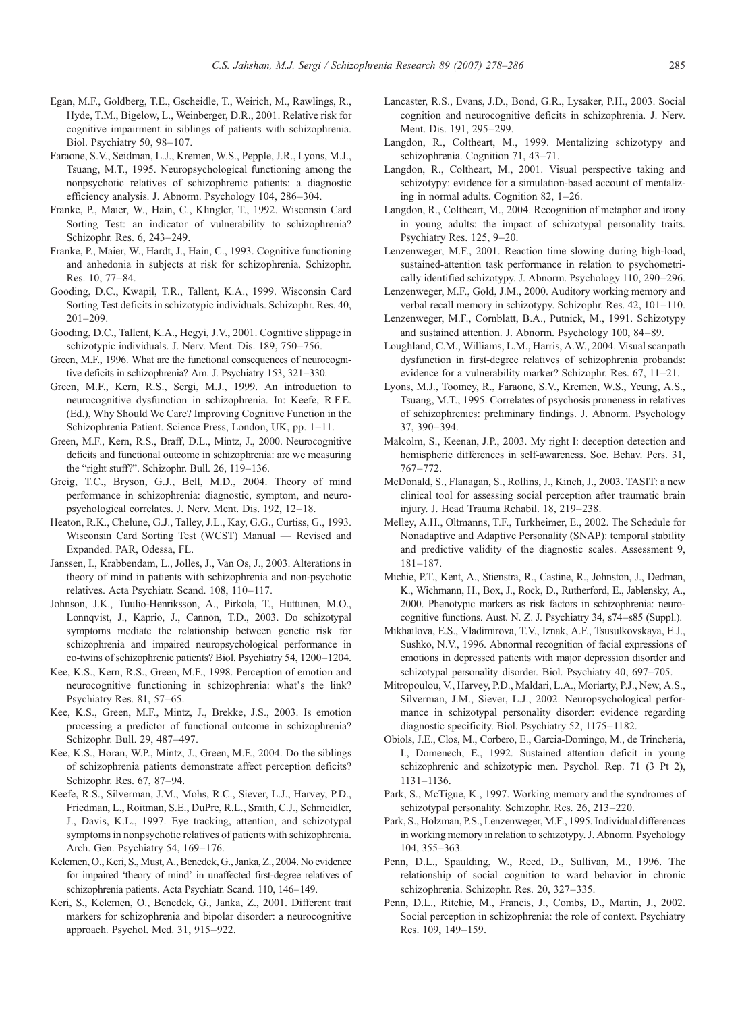- <span id="page-7-0"></span>Egan, M.F., Goldberg, T.E., Gscheidle, T., Weirich, M., Rawlings, R., Hyde, T.M., Bigelow, L., Weinberger, D.R., 2001. Relative risk for cognitive impairment in siblings of patients with schizophrenia. Biol. Psychiatry 50, 98–107.
- Faraone, S.V., Seidman, L.J., Kremen, W.S., Pepple, J.R., Lyons, M.J., Tsuang, M.T., 1995. Neuropsychological functioning among the nonpsychotic relatives of schizophrenic patients: a diagnostic efficiency analysis. J. Abnorm. Psychology 104, 286–304.
- Franke, P., Maier, W., Hain, C., Klingler, T., 1992. Wisconsin Card Sorting Test: an indicator of vulnerability to schizophrenia? Schizophr. Res. 6, 243–249.
- Franke, P., Maier, W., Hardt, J., Hain, C., 1993. Cognitive functioning and anhedonia in subjects at risk for schizophrenia. Schizophr. Res. 10, 77–84.
- Gooding, D.C., Kwapil, T.R., Tallent, K.A., 1999. Wisconsin Card Sorting Test deficits in schizotypic individuals. Schizophr. Res. 40, 201–209.
- Gooding, D.C., Tallent, K.A., Hegyi, J.V., 2001. Cognitive slippage in schizotypic individuals. J. Nerv. Ment. Dis. 189, 750–756.
- Green, M.F., 1996. What are the functional consequences of neurocognitive deficits in schizophrenia? Am. J. Psychiatry 153, 321–330.
- Green, M.F., Kern, R.S., Sergi, M.J., 1999. An introduction to neurocognitive dysfunction in schizophrenia. In: Keefe, R.F.E. (Ed.), Why Should We Care? Improving Cognitive Function in the Schizophrenia Patient. Science Press, London, UK, pp. 1–11.
- Green, M.F., Kern, R.S., Braff, D.L., Mintz, J., 2000. Neurocognitive deficits and functional outcome in schizophrenia: are we measuring the "right stuff?". Schizophr. Bull. 26, 119–136.
- Greig, T.C., Bryson, G.J., Bell, M.D., 2004. Theory of mind performance in schizophrenia: diagnostic, symptom, and neuropsychological correlates. J. Nerv. Ment. Dis. 192, 12–18.
- Heaton, R.K., Chelune, G.J., Talley, J.L., Kay, G.G., Curtiss, G., 1993. Wisconsin Card Sorting Test (WCST) Manual — Revised and Expanded. PAR, Odessa, FL.
- Janssen, I., Krabbendam, L., Jolles, J., Van Os, J., 2003. Alterations in theory of mind in patients with schizophrenia and non-psychotic relatives. Acta Psychiatr. Scand. 108, 110–117.
- Johnson, J.K., Tuulio-Henriksson, A., Pirkola, T., Huttunen, M.O., Lonnqvist, J., Kaprio, J., Cannon, T.D., 2003. Do schizotypal symptoms mediate the relationship between genetic risk for schizophrenia and impaired neuropsychological performance in co-twins of schizophrenic patients? Biol. Psychiatry 54, 1200–1204.
- Kee, K.S., Kern, R.S., Green, M.F., 1998. Perception of emotion and neurocognitive functioning in schizophrenia: what's the link? Psychiatry Res. 81, 57–65.
- Kee, K.S., Green, M.F., Mintz, J., Brekke, J.S., 2003. Is emotion processing a predictor of functional outcome in schizophrenia? Schizophr. Bull. 29, 487–497.
- Kee, K.S., Horan, W.P., Mintz, J., Green, M.F., 2004. Do the siblings of schizophrenia patients demonstrate affect perception deficits? Schizophr. Res. 67, 87–94.
- Keefe, R.S., Silverman, J.M., Mohs, R.C., Siever, L.J., Harvey, P.D., Friedman, L., Roitman, S.E., DuPre, R.L., Smith, C.J., Schmeidler, J., Davis, K.L., 1997. Eye tracking, attention, and schizotypal symptoms in nonpsychotic relatives of patients with schizophrenia. Arch. Gen. Psychiatry 54, 169–176.
- Kelemen, O., Keri, S., Must, A., Benedek, G., Janka, Z., 2004. No evidence for impaired 'theory of mind' in unaffected first-degree relatives of schizophrenia patients. Acta Psychiatr. Scand. 110, 146–149.
- Keri, S., Kelemen, O., Benedek, G., Janka, Z., 2001. Different trait markers for schizophrenia and bipolar disorder: a neurocognitive approach. Psychol. Med. 31, 915–922.
- Lancaster, R.S., Evans, J.D., Bond, G.R., Lysaker, P.H., 2003. Social cognition and neurocognitive deficits in schizophrenia. J. Nerv. Ment. Dis. 191, 295–299.
- Langdon, R., Coltheart, M., 1999. Mentalizing schizotypy and schizophrenia. Cognition 71, 43–71.
- Langdon, R., Coltheart, M., 2001. Visual perspective taking and schizotypy: evidence for a simulation-based account of mentalizing in normal adults. Cognition 82, 1–26.
- Langdon, R., Coltheart, M., 2004. Recognition of metaphor and irony in young adults: the impact of schizotypal personality traits. Psychiatry Res. 125, 9–20.
- Lenzenweger, M.F., 2001. Reaction time slowing during high-load, sustained-attention task performance in relation to psychometrically identified schizotypy. J. Abnorm. Psychology 110, 290–296.
- Lenzenweger, M.F., Gold, J.M., 2000. Auditory working memory and verbal recall memory in schizotypy. Schizophr. Res. 42, 101–110.
- Lenzenweger, M.F., Cornblatt, B.A., Putnick, M., 1991. Schizotypy and sustained attention. J. Abnorm. Psychology 100, 84–89.
- Loughland, C.M., Williams, L.M., Harris, A.W., 2004. Visual scanpath dysfunction in first-degree relatives of schizophrenia probands: evidence for a vulnerability marker? Schizophr. Res. 67, 11–21.
- Lyons, M.J., Toomey, R., Faraone, S.V., Kremen, W.S., Yeung, A.S., Tsuang, M.T., 1995. Correlates of psychosis proneness in relatives of schizophrenics: preliminary findings. J. Abnorm. Psychology 37, 390–394.
- Malcolm, S., Keenan, J.P., 2003. My right I: deception detection and hemispheric differences in self-awareness. Soc. Behav. Pers. 31, 767–772.
- McDonald, S., Flanagan, S., Rollins, J., Kinch, J., 2003. TASIT: a new clinical tool for assessing social perception after traumatic brain injury. J. Head Trauma Rehabil. 18, 219–238.
- Melley, A.H., Oltmanns, T.F., Turkheimer, E., 2002. The Schedule for Nonadaptive and Adaptive Personality (SNAP): temporal stability and predictive validity of the diagnostic scales. Assessment 9, 181–187.
- Michie, P.T., Kent, A., Stienstra, R., Castine, R., Johnston, J., Dedman, K., Wichmann, H., Box, J., Rock, D., Rutherford, E., Jablensky, A., 2000. Phenotypic markers as risk factors in schizophrenia: neurocognitive functions. Aust. N. Z. J. Psychiatry 34, s74–s85 (Suppl.).
- Mikhailova, E.S., Vladimirova, T.V., Iznak, A.F., Tsusulkovskaya, E.J., Sushko, N.V., 1996. Abnormal recognition of facial expressions of emotions in depressed patients with major depression disorder and schizotypal personality disorder. Biol. Psychiatry 40, 697–705.
- Mitropoulou, V., Harvey, P.D., Maldari, L.A., Moriarty, P.J., New, A.S., Silverman, J.M., Siever, L.J., 2002. Neuropsychological performance in schizotypal personality disorder: evidence regarding diagnostic specificity. Biol. Psychiatry 52, 1175–1182.
- Obiols, J.E., Clos, M., Corbero, E., Garcia-Domingo, M., de Trincheria, I., Domenech, E., 1992. Sustained attention deficit in young schizophrenic and schizotypic men. Psychol. Rep. 71 (3 Pt 2), 1131–1136.
- Park, S., McTigue, K., 1997. Working memory and the syndromes of schizotypal personality. Schizophr. Res. 26, 213–220.
- Park, S., Holzman, P.S., Lenzenweger, M.F., 1995. Individual differences in working memory in relation to schizotypy. J. Abnorm. Psychology 104, 355–363.
- Penn, D.L., Spaulding, W., Reed, D., Sullivan, M., 1996. The relationship of social cognition to ward behavior in chronic schizophrenia. Schizophr. Res. 20, 327–335.
- Penn, D.L., Ritchie, M., Francis, J., Combs, D., Martin, J., 2002. Social perception in schizophrenia: the role of context. Psychiatry Res. 109, 149–159.